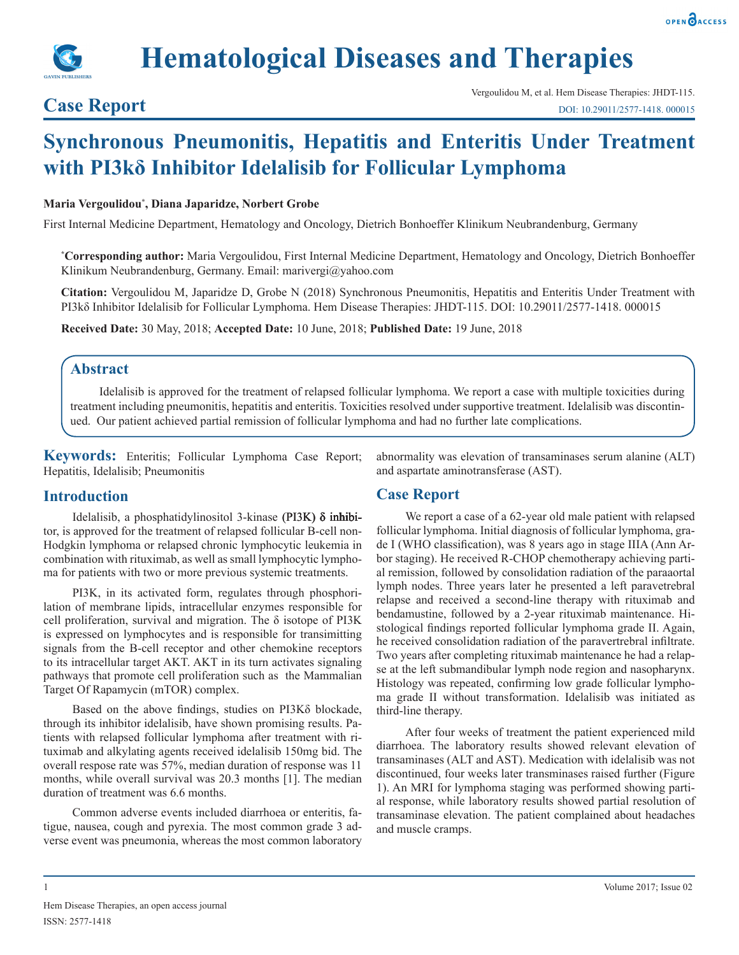



# **Case Report**

# **Synchronous Pneumonitis, Hepatitis and Enteritis Under Treatment with PI3kδ Inhibitor Idelalisib for Follicular Lymphoma**

#### **Maria Vergoulidou\* , Diana Japaridze, Norbert Grobe**

First Internal Medicine Department, Hematology and Oncology, Dietrich Bonhoeffer Klinikum Neubrandenburg, Germany

**\* Corresponding author:** Maria Vergoulidou, First Internal Medicine Department, Hematology and Oncology, Dietrich Bonhoeffer Klinikum Neubrandenburg, Germany. Email: marivergi@yahoo.com

**Citation:** Vergoulidou M, Japaridze D, Grobe N (2018) Synchronous Pneumonitis, Hepatitis and Enteritis Under Treatment with PI3kδ Inhibitor Idelalisib for Follicular Lymphoma. Hem Disease Therapies: JHDT-115. DOI: 10.29011/2577-1418. 000015

**Received Date:** 30 May, 2018; **Accepted Date:** 10 June, 2018; **Published Date:** 19 June, 2018

#### **Abstract**

Idelalisib is approved for the treatment of relapsed follicular lymphoma. We report a case with multiple toxicities during treatment including pneumonitis, hepatitis and enteritis. Toxicities resolved under supportive treatment. Idelalisib was discontinued. Our patient achieved partial remission of follicular lymphoma and had no further late complications.

**Keywords:** Enteritis; Follicular Lymphoma Case Report; Hepatitis, Idelalisib; Pneumonitis

#### **Introduction**

Idelalisib, a phosphatidylinositol 3-kinase (PI3K) δ inhibitor, is approved for the treatment of relapsed follicular B-cell non-Hodgkin lymphoma or relapsed chronic lymphocytic leukemia in combination with rituximab, as well as small lymphocytic lymphoma for patients with two or more previous systemic treatments.

PI3K, in its activated form, regulates through phosphorilation of membrane lipids, intracellular enzymes responsible for cell proliferation, survival and migration. The  $\delta$  isotope of PI3K is expressed on lymphocytes and is responsible for transimitting signals from the B-cell receptor and other chemokine receptors to its intracellular target AKT. AKT in its turn activates signaling pathways that promote cell proliferation such as the Mammalian Target Of Rapamycin (mTOR) complex.

Based on the above findings, studies on PI3Kδ blockade, through its inhibitor idelalisib, have shown promising results. Patients with relapsed follicular lymphoma after treatment with rituximab and alkylating agents received idelalisib 150mg bid. The overall respose rate was 57%, median duration of response was 11 months, while overall survival was 20.3 months [1]. The median duration of treatment was 6.6 months.

Common adverse events included diarrhoea or enteritis, fatigue, nausea, cough and pyrexia. The most common grade 3 adverse event was pneumonia, whereas the most common laboratory abnormality was elevation of transaminases serum alanine (ALT) and aspartate aminotransferase (AST).

#### **Case Report**

We report a case of a 62-year old male patient with relapsed follicular lymphoma. Initial diagnosis of follicular lymphoma, grade I (WHO classification), was 8 years ago in stage IIIA (Ann Arbor staging). He received R-CHOP chemotherapy achieving partial remission, followed by consolidation radiation of the paraaortal lymph nodes. Three years later he presented a left paravetrebral relapse and received a second-line therapy with rituximab and bendamustine, followed by a 2-year rituximab maintenance. Histological findings reported follicular lymphoma grade II. Again, he received consolidation radiation of the paravertrebral infiltrate. Two years after completing rituximab maintenance he had a relapse at the left submandibular lymph node region and nasopharynx. Histology was repeated, confirming low grade follicular lymphoma grade II without transformation. Idelalisib was initiated as third-line therapy.

After four weeks of treatment the patient experienced mild diarrhoea. The laboratory results showed relevant elevation of transaminases (ALT and AST). Medication with idelalisib was not discontinued, four weeks later transminases raised further (Figure 1). An MRI for lymphoma staging was performed showing partial response, while laboratory results showed partial resolution of transaminase elevation. The patient complained about headaches and muscle cramps.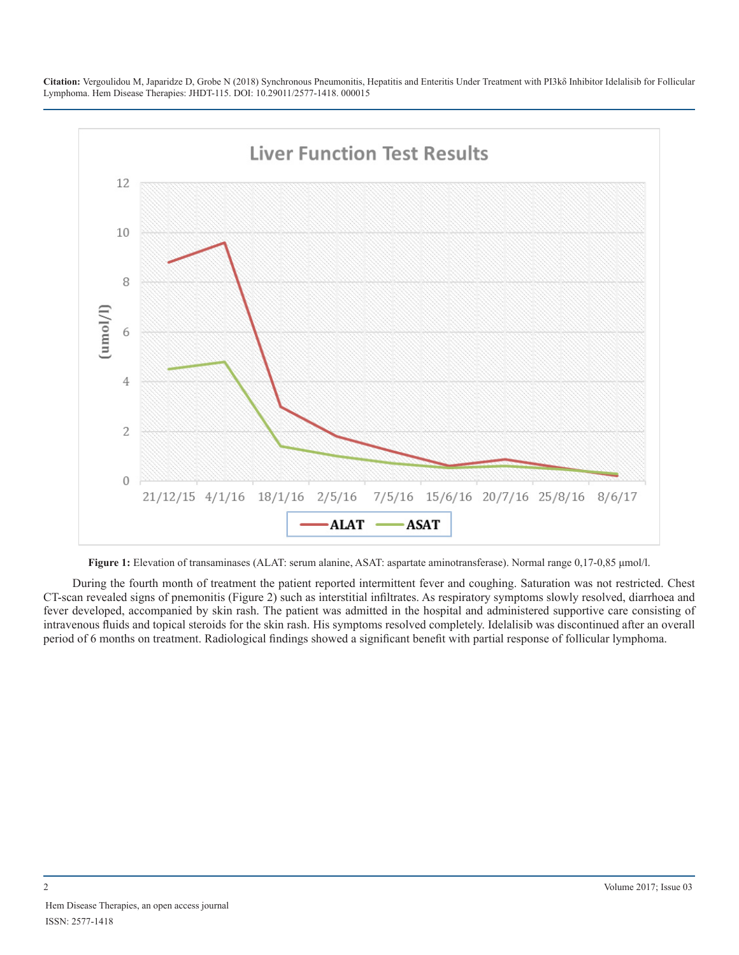**Citation:** Vergoulidou M, Japaridze D, Grobe N (2018) Synchronous Pneumonitis, Hepatitis and Enteritis Under Treatment with PI3kδ Inhibitor Idelalisib for Follicular Lymphoma. Hem Disease Therapies: JHDT-115. DOI: 10.29011/2577-1418. 000015



**Figure 1:** Elevation of transaminases (ALAT: serum alanine, ASAT: aspartate aminotransferase). Normal range 0,17-0,85 μmol/l.

During the fourth month of treatment the patient reported intermittent fever and coughing. Saturation was not restricted. Chest CT-scan revealed signs of pnemonitis (Figure 2) such as interstitial infiltrates. As respiratory symptoms slowly resolved, diarrhoea and fever developed, accompanied by skin rash. The patient was admitted in the hospital and administered supportive care consisting of intravenous fluids and topical steroids for the skin rash. His symptoms resolved completely. Idelalisib was discontinued after an overall period of 6 months on treatment. Radiological findings showed a significant benefit with partial response of follicular lymphoma.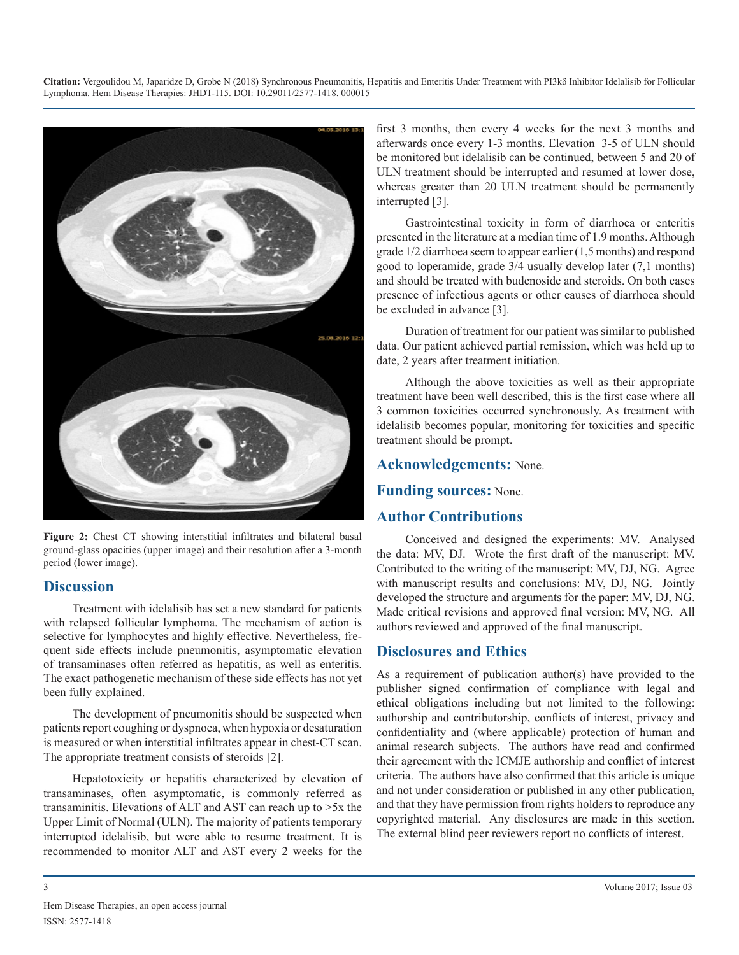**Citation:** Vergoulidou M, Japaridze D, Grobe N (2018) Synchronous Pneumonitis, Hepatitis and Enteritis Under Treatment with PI3kδ Inhibitor Idelalisib for Follicular Lymphoma. Hem Disease Therapies: JHDT-115. DOI: 10.29011/2577-1418. 000015



**Figure 2:** Chest CT showing interstitial infiltrates and bilateral basal ground-glass opacities (upper image) and their resolution after a 3-month period (lower image).

#### **Discussion**

Treatment with idelalisib has set a new standard for patients with relapsed follicular lymphoma. The mechanism of action is selective for lymphocytes and highly effective. Nevertheless, frequent side effects include pneumonitis, asymptomatic elevation of transaminases often referred as hepatitis, as well as enteritis. The exact pathogenetic mechanism of these side effects has not yet been fully explained.

The development of pneumonitis should be suspected when patients report coughing or dyspnoea, when hypoxia or desaturation is measured or when interstitial infiltrates appear in chest-CT scan. The appropriate treatment consists of steroids [2].

Hepatotoxicity or hepatitis characterized by elevation of transaminases, often asymptomatic, is commonly referred as transaminitis. Elevations of ALT and AST can reach up to >5x the Upper Limit of Normal (ULN). The majority of patients temporary interrupted idelalisib, but were able to resume treatment. It is recommended to monitor ALT and AST every 2 weeks for the first 3 months, then every 4 weeks for the next 3 months and afterwards once every 1-3 months. Elevation 3-5 of ULN should be monitored but idelalisib can be continued, between 5 and 20 of ULN treatment should be interrupted and resumed at lower dose, whereas greater than 20 ULN treatment should be permanently interrupted [3].

Gastrointestinal toxicity in form of diarrhoea or enteritis presented in the literature at a median time of 1.9 months. Although grade 1/2 diarrhoea seem to appear earlier (1,5 months) and respond good to loperamide, grade 3/4 usually develop later (7,1 months) and should be treated with budenoside and steroids. On both cases presence of infectious agents or other causes of diarrhoea should be excluded in advance [3].

Duration of treatment for our patient was similar to published data. Our patient achieved partial remission, which was held up to date, 2 years after treatment initiation.

Although the above toxicities as well as their appropriate treatment have been well described, this is the first case where all 3 common toxicities occurred synchronously. As treatment with idelalisib becomes popular, monitoring for toxicities and specific treatment should be prompt.

### **Acknowledgements:** None.

**Funding sources:** None.

# **Author Contributions**

Conceived and designed the experiments: MV. Analysed the data: MV, DJ. Wrote the first draft of the manuscript: MV. Contributed to the writing of the manuscript: MV, DJ, NG. Agree with manuscript results and conclusions: MV, DJ, NG. Jointly developed the structure and arguments for the paper: MV, DJ, NG. Made critical revisions and approved final version: MV, NG. All authors reviewed and approved of the final manuscript.

# **Disclosures and Ethics**

As a requirement of publication author(s) have provided to the publisher signed confirmation of compliance with legal and ethical obligations including but not limited to the following: authorship and contributorship, conflicts of interest, privacy and confidentiality and (where applicable) protection of human and animal research subjects. The authors have read and confirmed their agreement with the ICMJE authorship and conflict of interest criteria. The authors have also confirmed that this article is unique and not under consideration or published in any other publication, and that they have permission from rights holders to reproduce any copyrighted material. Any disclosures are made in this section. The external blind peer reviewers report no conflicts of interest.